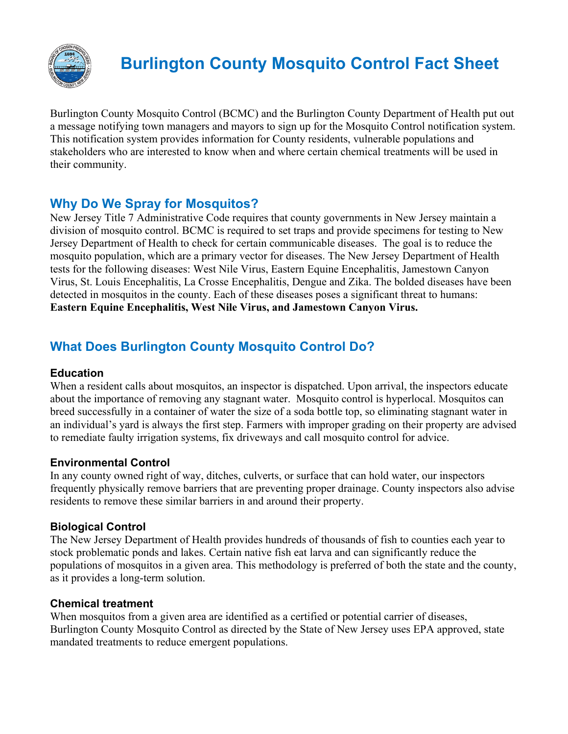

# **Burlington County Mosquito Control Fact Sheet**

Burlington County Mosquito Control (BCMC) and the Burlington County Department of Health put out a message notifying town managers and mayors to sign up for the Mosquito Control notification system. This notification system provides information for County residents, vulnerable populations and stakeholders who are interested to know when and where certain chemical treatments will be used in their community.

### **Why Do We Spray for Mosquitos?**

New Jersey Title 7 Administrative Code requires that county governments in New Jersey maintain a division of mosquito control. BCMC is required to set traps and provide specimens for testing to New Jersey Department of Health to check for certain communicable diseases. The goal is to reduce the mosquito population, which are a primary vector for diseases. The New Jersey Department of Health tests for the following diseases: West Nile Virus, Eastern Equine Encephalitis, Jamestown Canyon Virus, St. Louis Encephalitis, La Crosse Encephalitis, Dengue and Zika. The bolded diseases have been detected in mosquitos in the county. Each of these diseases poses a significant threat to humans: **Eastern Equine Encephalitis, West Nile Virus, and Jamestown Canyon Virus.** 

# **What Does Burlington County Mosquito Control Do?**

#### **Education**

When a resident calls about mosquitos, an inspector is dispatched. Upon arrival, the inspectors educate about the importance of removing any stagnant water. Mosquito control is hyperlocal. Mosquitos can breed successfully in a container of water the size of a soda bottle top, so eliminating stagnant water in an individual's yard is always the first step. Farmers with improper grading on their property are advised to remediate faulty irrigation systems, fix driveways and call mosquito control for advice.

#### **Environmental Control**

In any county owned right of way, ditches, culverts, or surface that can hold water, our inspectors frequently physically remove barriers that are preventing proper drainage. County inspectors also advise residents to remove these similar barriers in and around their property.

#### **Biological Control**

The New Jersey Department of Health provides hundreds of thousands of fish to counties each year to stock problematic ponds and lakes. Certain native fish eat larva and can significantly reduce the populations of mosquitos in a given area. This methodology is preferred of both the state and the county, as it provides a long-term solution.

#### **Chemical treatment**

When mosquitos from a given area are identified as a certified or potential carrier of diseases, Burlington County Mosquito Control as directed by the State of New Jersey uses EPA approved, state mandated treatments to reduce emergent populations.